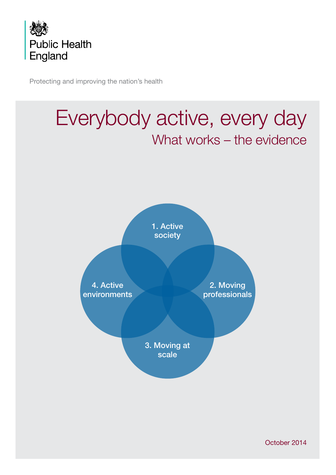

Protecting and improving the nation's health



October 2014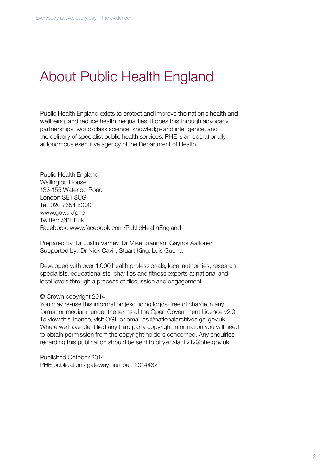## About Public Health England

Public Health England exists to protect and improve the nation's health and wellbeing, and reduce health inequalities. It does this through advocacy, partnerships, world-class science, knowledge and intelligence, and the delivery of specialist public health services. PHE is an operationally autonomous executive agency of the Department of Health.

Public Health England Wellington House 133-155 Waterloo Road London SE1 8UG Tel: 020 7654 8000 www.gov.uk/phe Twitter: @PHEuk Facebook: www.facebook.com/PublicHealthEngland

Prepared by: Dr Justin Varney, Dr Mike Brannan, Gaynor Aaltonen Supported by: Dr Nick Cavill, Stuart King, Luis Guerra

Developed with over 1,000 health professionals, local authorities, research specialists, educationalists, charities and fitness experts at national and local levels through a process of discussion and engagement.

#### © Crown copyright 2014

You may re-use this information (excluding logos) free of charge in any format or medium, under the terms of the Open Government Licence v2.0. To view this licence, visit OGL or email psi@nationalarchives.gsi.gov.uk. Where we have identified any third party copyright information you will need to obtain permission from the copyright holders concerned. Any enquiries regarding this publication should be sent to physicalactivity@phe.gov.uk.

Published October 2014 PHE publications gateway number: 2014432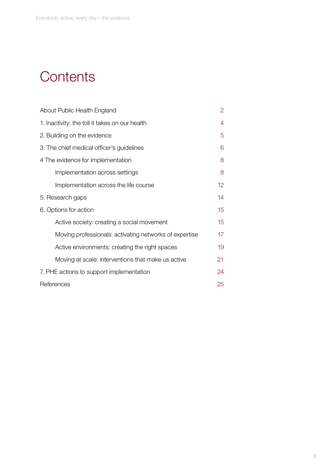## **Contents**

| About Public Health England                            | 2                |
|--------------------------------------------------------|------------------|
| 1. Inactivity: the toll it takes on our health         | 4                |
| 2. Building on the evidence                            | 5                |
| 3. The chief medical officer's guidelines              | 6                |
| 4 The evidence for implementation                      | 8                |
| Implementation across settings                         | 8                |
| Implementation across the life course                  | 12 <sub>2</sub>  |
| 5. Research gaps                                       | 14               |
| 6. Options for action                                  | 15 <sub>15</sub> |
| Active society: creating a social movement             | 15               |
| Moving professionals: activating networks of expertise | 17               |
| Active environments: creating the right spaces         | 19               |
| Moving at scale: interventions that make us active     | 21               |
| 7. PHE actions to support implementation               | 24               |
| References                                             | 25               |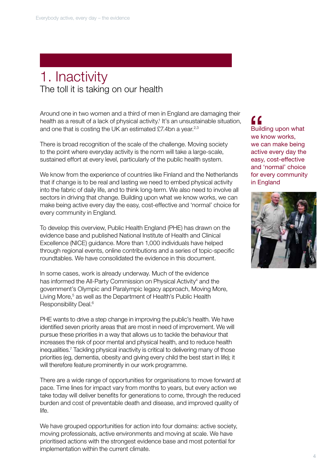## 1. Inactivity The toll it is taking on our health

Around one in two women and a third of men in England are damaging their health as a result of a lack of physical activity.<sup>1</sup> It's an unsustainable situation, and one that is costing the UK an estimated £7.4bn a year.<sup>2,3</sup>

There is broad recognition of the scale of the challenge. Moving society to the point where everyday activity is the norm will take a large-scale, sustained effort at every level, particularly of the public health system.

We know from the experience of countries like Finland and the Netherlands that if change is to be real and lasting we need to embed physical activity into the fabric of daily life, and to think long-term. We also need to involve all sectors in driving that change. Building upon what we know works, we can make being active every day the easy, cost-effective and 'normal' choice for every community in England.

To develop this overview, Public Health England (PHE) has drawn on the evidence base and published National Institute of Health and Clinical Excellence (NICE) guidance. More than 1,000 individuals have helped through regional events, online contributions and a series of topic-specific roundtables. We have consolidated the evidence in this document.

In some cases, work is already underway. Much of the evidence has informed the All-Party Commission on Physical Activity<sup>4</sup> and the government's Olympic and Paralympic legacy approach, Moving More, Living More,<sup>5</sup> as well as the Department of Health's Public Health Responsibility Deal.<sup>6</sup>

PHE wants to drive a step change in improving the public's health. We have identified seven priority areas that are most in need of improvement. We will pursue these priorities in a way that allows us to tackle the behaviour that increases the risk of poor mental and physical health, and to reduce health inequalities.7 Tackling physical inactivity is critical to delivering many of those priorities (eg, dementia, obesity and giving every child the best start in life); it will therefore feature prominently in our work programme.

There are a wide range of opportunities for organisations to move forward at pace. Time lines for impact vary from months to years, but every action we take today will deliver benefits for generations to come, through the reduced burden and cost of preventable death and disease, and improved quality of life.

We have grouped opportunities for action into four domains: active society, moving professionals, active environments and moving at scale. We have prioritised actions with the strongest evidence base and most potential for implementation within the current climate.

Building upon what we know works, we can make being active every day the easy, cost-effective and 'normal' choice for every community in England "<br>Build<br>we k<br>we c

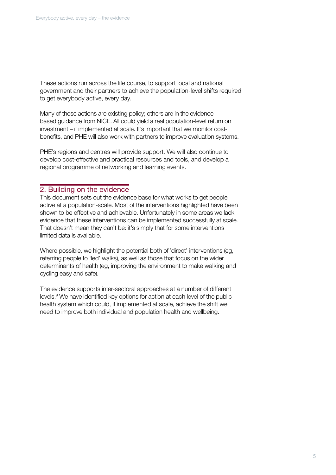These actions run across the life course, to support local and national government and their partners to achieve the population-level shifts required to get everybody active, every day.

Many of these actions are existing policy; others are in the evidencebased guidance from NICE. All could yield a real population-level return on investment – if implemented at scale. It's important that we monitor costbenefits, and PHE will also work with partners to improve evaluation systems.

PHE's regions and centres will provide support. We will also continue to develop cost-effective and practical resources and tools, and develop a regional programme of networking and learning events.

### 2. Building on the evidence

This document sets out the evidence base for what works to get people active at a population-scale. Most of the interventions highlighted have been shown to be effective and achievable. Unfortunately in some areas we lack evidence that these interventions can be implemented successfully at scale. That doesn't mean they can't be: it's simply that for some interventions limited data is available.

Where possible, we highlight the potential both of 'direct' interventions (eg, referring people to 'led' walks), as well as those that focus on the wider determinants of health (eg, improving the environment to make walking and cycling easy and safe).

The evidence supports inter-sectoral approaches at a number of different levels.<sup>9</sup> We have identified key options for action at each level of the public health system which could, if implemented at scale, achieve the shift we need to improve both individual and population health and wellbeing.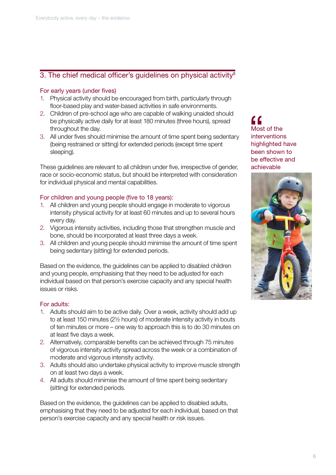## 3. The chief medical officer's guidelines on physical activity $8$

#### For early years (under fives)

- 1. Physical activity should be encouraged from birth, particularly through floor-based play and water-based activities in safe environments.
- 2. Children of pre-school age who are capable of walking unaided should be physically active daily for at least 180 minutes (three hours), spread throughout the day.
- 3. All under fives should minimise the amount of time spent being sedentary (being restrained or sitting) for extended periods (except time spent sleeping).

These guidelines are relevant to all children under five, irrespective of gender, race or socio-economic status, but should be interpreted with consideration for individual physical and mental capabilities.

#### For children and young people (five to 18 years):

- 1. All children and young people should engage in moderate to vigorous intensity physical activity for at least 60 minutes and up to several hours every day.
- 2. Vigorous intensity activities, including those that strengthen muscle and bone, should be incorporated at least three days a week.
- 3. All children and young people should minimise the amount of time spent being sedentary (sitting) for extended periods.

Based on the evidence, the guidelines can be applied to disabled children and young people, emphasising that they need to be adjusted for each individual based on that person's exercise capacity and any special health issues or risks.

#### For adults:

- 1. Adults should aim to be active daily. Over a week, activity should add up to at least 150 minutes (2½ hours) of moderate intensity activity in bouts of ten minutes or more – one way to approach this is to do 30 minutes on at least five days a week.
- 2. Alternatively, comparable benefits can be achieved through 75 minutes of vigorous intensity activity spread across the week or a combination of moderate and vigorous intensity activity.
- 3. Adults should also undertake physical activity to improve muscle strength on at least two days a week.
- 4. All adults should minimise the amount of time spent being sedentary (sitting) for extended periods.

Based on the evidence, the guidelines can be applied to disabled adults, emphasising that they need to be adjusted for each individual, based on that person's exercise capacity and any special health or risk issues.

Most of the interventions highlighted have been shown to be effective and achievable "

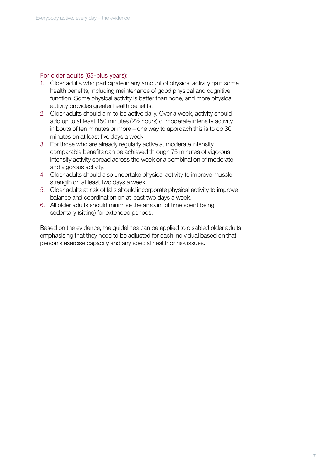#### For older adults (65-plus years):

- 1. Older adults who participate in any amount of physical activity gain some health benefits, including maintenance of good physical and cognitive function. Some physical activity is better than none, and more physical activity provides greater health benefits.
- 2. Older adults should aim to be active daily. Over a week, activity should add up to at least 150 minutes (2½ hours) of moderate intensity activity in bouts of ten minutes or more – one way to approach this is to do 30 minutes on at least five days a week.
- 3. For those who are already regularly active at moderate intensity, comparable benefits can be achieved through 75 minutes of vigorous intensity activity spread across the week or a combination of moderate and vigorous activity.
- 4. Older adults should also undertake physical activity to improve muscle strength on at least two days a week.
- 5. Older adults at risk of falls should incorporate physical activity to improve balance and coordination on at least two days a week.
- 6. All older adults should minimise the amount of time spent being sedentary (sitting) for extended periods.

Based on the evidence, the guidelines can be applied to disabled older adults emphasising that they need to be adjusted for each individual based on that person's exercise capacity and any special health or risk issues.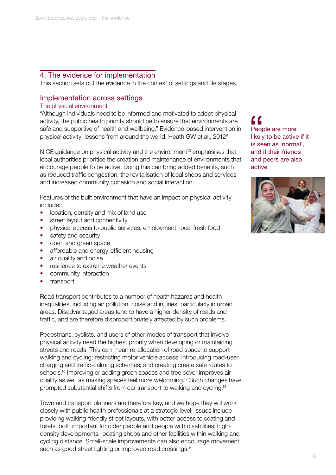## 4. The evidence for implementation

This section sets out the evidence in the context of settings and life stages.

## Implementation across settings

#### The physical environment

"Although individuals need to be informed and motivated to adopt physical activity, the public health priority should be to ensure that environments are safe and supportive of health and wellbeing." Evidence-based intervention in physical activity: lessons from around the world. Heath GW et al., 20129

 $NICE$  guidance on physical activity and the environment<sup>10</sup> emphasises that local authorities prioritise the creation and maintenance of environments that encourage people to be active. Doing this can bring added benefits, such as reduced traffic congestion, the revitalisation of local shops and services and increased community cohesion and social interaction.

Features of the built environment that have an impact on physical activity include:11

- location, density and mix of land use
- street layout and connectivity
- physical access to public services, employment, local fresh food
- safety and security
- open and green space
- affordable and energy-efficient housing
- air quality and noise
- resilience to extreme weather events
- community interaction
- transport

Road transport contributes to a number of health hazards and health inequalities, including air pollution, noise and injuries, particularly in urban areas. Disadvantaged areas tend to have a higher density of roads and traffic, and are therefore disproportionately affected by such problems.

Pedestrians, cyclists, and users of other modes of transport that involve physical activity need the highest priority when developing or maintaining streets and roads. This can mean re-allocation of road space to support walking and cycling; restricting motor vehicle access; introducing road-user charging and traffic-calming schemes; and creating create safe routes to schools.<sup>10</sup> Improving or adding green spaces and tree cover improves air quality as well as making spaces feel more welcoming.12 Such changes have prompted substantial shifts from car transport to walking and cycling.13

Town and transport planners are therefore key, and we hope they will work closely with public health professionals at a strategic level. Issues include providing walking-friendly street layouts, with better access to seating and toilets, both important for older people and people with disabilities; highdensity developments; locating shops and other facilities within walking and cycling distance. Small-scale improvements can also encourage movement, such as good street lighting or improved road crossings.<sup>9</sup>

People are more likely to be active if it is seen as 'normal', and if their friends and peers are also active "<br>
Peop<br>
likely<br>
is se

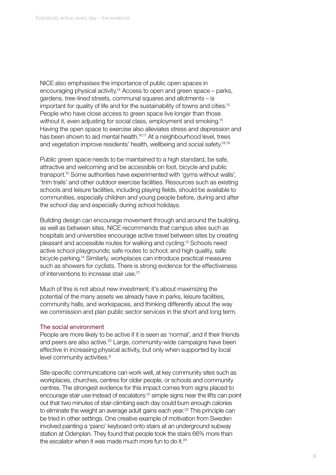NICE also emphasises the importance of public open spaces in encouraging physical activity.14 Access to open and green space – parks, gardens, tree-lined streets, communal squares and allotments – is important for quality of life and for the sustainability of towns and cities.<sup>15</sup> People who have close access to green space live longer than those without it, even adjusting for social class, employment and smoking.<sup>15</sup> Having the open space to exercise also alleviates stress and depression and has been shown to aid mental health.<sup>16,17</sup> At a neighbourhood level, trees and vegetation improve residents' health, wellbeing and social safety.18,19

Public green space needs to be maintained to a high standard, be safe, attractive and welcoming and be accessible on foot, bicycle and public transport.10 Some authorities have experimented with 'gyms without walls', 'trim trails' and other outdoor exercise facilities. Resources such as existing schools and leisure facilities, including playing fields, should be available to communities, especially children and young people before, during and after the school day and especially during school holidays.

Building design can encourage movement through and around the building, as well as between sites. NICE recommends that campus sites such as hospitals and universities encourage active travel between sites by creating pleasant and accessible routes for walking and cycling.10 Schools need active school playgrounds; safe routes to school; and high quality, safe bicycle parking.14 Similarly, workplaces can introduce practical measures such as showers for cyclists. There is strong evidence for the effectiveness of interventions to increase stair use.21

Much of this is not about new investment; it's about maximizing the potential of the many assets we already have in parks, leisure facilities, community halls, and workspaces, and thinking differently about the way we commission and plan public sector services in the short and long term.

#### The social environment

People are more likely to be active if it is seen as 'normal', and if their friends and peers are also active.<sup>22</sup> Large, community-wide campaigns have been effective in increasing physical activity, but only when supported by local level community activities.<sup>9</sup>

Site-specific communications can work well, at key community sites such as workplaces, churches, centres for older people, or schools and community centres. The strongest evidence for this impact comes from signs placed to encourage stair use instead of escalators:10 simple signs near the lifts can point out that two minutes of stair-climbing each day could burn enough calories to eliminate the weight an average adult gains each year.<sup>23</sup> This principle can be tried in other settings. One creative example of motivation from Sweden involved painting a 'piano' keyboard onto stairs at an underground subway station at Odenplan. They found that people took the stairs 66% more than the escalator when it was made much more fun to do it.<sup>24</sup>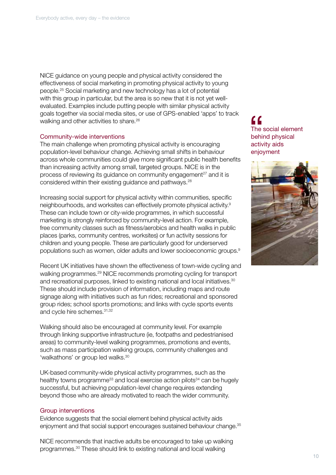NICE guidance on young people and physical activity considered the effectiveness of social marketing in promoting physical activity to young people.25 Social marketing and new technology has a lot of potential with this group in particular, but the area is so new that it is not yet wellevaluated. Examples include putting people with similar physical activity goals together via social media sites, or use of GPS-enabled 'apps' to track walking and other activities to share.<sup>26</sup>

#### Community-wide interventions

The main challenge when promoting physical activity is encouraging population-level behaviour change. Achieving small shifts in behaviour across whole communities could give more significant public health benefits than increasing activity among small, targeted groups. NICE is in the process of reviewing its guidance on community engagement<sup>27</sup> and it is considered within their existing guidance and pathways.28

Increasing social support for physical activity within communities, specific neighbourhoods, and worksites can effectively promote physical activity.9 These can include town or city-wide programmes, in which successful marketing is strongly reinforced by community-level action. For example, free community classes such as fitness/aerobics and health walks in public places (parks, community centres, worksites) or fun activity sessions for children and young people. These are particularly good for underserved populations such as women, older adults and lower socioeconomic groups.9

Recent UK initiatives have shown the effectiveness of town-wide cycling and walking programmes.29 NICE recommends promoting cycling for transport and recreational purposes, linked to existing national and local initiatives.<sup>30</sup> These should include provision of information, including maps and route signage along with initiatives such as fun rides; recreational and sponsored group rides; school sports promotions; and links with cycle sports events and cycle hire schemes. 31,32

Walking should also be encouraged at community level. For example through linking supportive infrastructure (ie, footpaths and pedestrianised areas) to community-level walking programmes, promotions and events, such as mass participation walking groups, community challenges and 'walkathons' or group led walks.<sup>30</sup>

UK-based community-wide physical activity programmes, such as the healthy towns programme<sup>33</sup> and local exercise action pilots<sup>34</sup> can be hugely successful, but achieving population-level change requires extending beyond those who are already motivated to reach the wider community.

#### Group interventions

Evidence suggests that the social element behind physical activity aids enjoyment and that social support encourages sustained behaviour change.<sup>35</sup>

NICE recommends that inactive adults be encouraged to take up walking programmes.30 These should link to existing national and local walking

The social element behind physical activity aids enjoyment  $\overline{\mathbf{G}}$ 

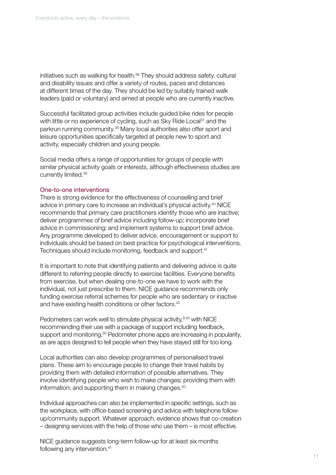initiatives such as walking for health.<sup>36</sup> They should address safety, cultural and disability issues and offer a variety of routes, paces and distances at different times of the day. They should be led by suitably trained walk leaders (paid or voluntary) and aimed at people who are currently inactive.

Successful facilitated group activities include guided bike rides for people with little or no experience of cycling, such as Sky Ride Local<sup>37</sup> and the parkrun running community.38 Many local authorities also offer sport and leisure opportunities specifically targeted at people new to sport and activity, especially children and young people.

Social media offers a range of opportunities for groups of people with similar physical activity goals or interests, although effectiveness studies are currently limited.39

#### One-to-one interventions

There is strong evidence for the effectiveness of counselling and brief advice in primary care to increase an individual's physical activity.40 NICE recommends that primary care practitioners identify those who are inactive; deliver programmes of brief advice including follow-up; incorporate brief advice in commissioning; and implement systems to support brief advice. Any programme developed to deliver advice, encouragement or support to individuals should be based on best practice for psychological interventions. Techniques should include monitoring, feedback and support.<sup>41</sup>

It is important to note that identifying patients and delivering advice is quite different to referring people directly to exercise facilities. Everyone benefits from exercise, but when dealing one-to-one we have to work with the individual, not just prescribe to them. NICE guidance recommends only funding exercise referral schemes for people who are sedentary or inactive and have existing health conditions or other factors.<sup>42</sup>

Pedometers can work well to stimulate physical activity, 9,43 with NICE recommending their use with a package of support including feedback, support and monitoring.<sup>30</sup> Pedometer phone apps are increasing in popularity, as are apps designed to tell people when they have stayed still for too long.

Local authorities can also develop programmes of personalised travel plans. These aim to encourage people to change their travel habits by providing them with detailed information of possible alternatives. They involve identifying people who wish to make changes; providing them with information; and supporting them in making changes.<sup>30</sup>

Individual approaches can also be implemented in specific settings, such as the workplace, with office-based screening and advice with telephone followup/community support. Whatever approach, evidence shows that co-creation – designing services with the help of those who use them – is most effective.

NICE guidance suggests long-term follow-up for at least six months following any intervention.<sup>41</sup>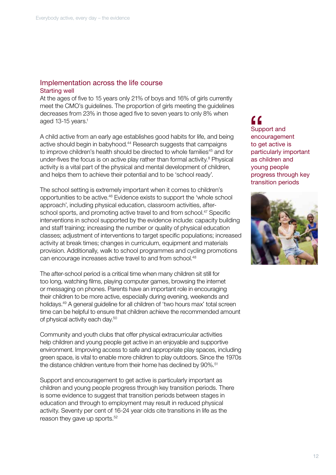### Implementation across the life course Starting well

At the ages of five to 15 years only 21% of boys and 16% of girls currently meet the CMO's guidelines. The proportion of girls meeting the guidelines decreases from 23% in those aged five to seven years to only 8% when aged 13-15 years.<sup>1</sup>

A child active from an early age establishes good habits for life, and being active should begin in babyhood.<sup>44</sup> Research suggests that campaigns to improve children's health should be directed to whole families<sup>45</sup> and for under-fives the focus is on active play rather than formal activity.<sup>8</sup> Physical activity is a vital part of the physical and mental development of children, and helps them to achieve their potential and to be 'school ready'.

The school setting is extremely important when it comes to children's opportunities to be active.46 Evidence exists to support the 'whole school approach', including physical education, classroom activities, afterschool sports, and promoting active travel to and from school.<sup>47</sup> Specific interventions in school supported by the evidence include: capacity building and staff training; increasing the number or quality of physical education classes; adjustment of interventions to target specific populations; increased activity at break times; changes in curriculum, equipment and materials provision. Additionally, walk to school programmes and cycling promotions can encourage increases active travel to and from school.<sup>48</sup>

The after-school period is a critical time when many children sit still for too long, watching films, playing computer games, browsing the internet or messaging on phones. Parents have an important role in encouraging their children to be more active, especially during evening, weekends and holidays.49 A general guideline for all children of 'two hours max' total screen time can be helpful to ensure that children achieve the recommended amount of physical activity each day.50

Community and youth clubs that offer physical extracurricular activities help children and young people get active in an enjoyable and supportive environment. Improving access to safe and appropriate play spaces, including green space, is vital to enable more children to play outdoors. Since the 1970s the distance children venture from their home has declined by 90%.<sup>51</sup>

Support and encouragement to get active is particularly important as children and young people progress through key transition periods. There is some evidence to suggest that transition periods between stages in education and through to employment may result in reduced physical activity. Seventy per cent of 16-24 year olds cite transitions in life as the reason they gave up sports.<sup>52</sup>

Support and encouragement to get active is particularly important as children and young people progress through key transition periods "<br>Supplemed<br>to get

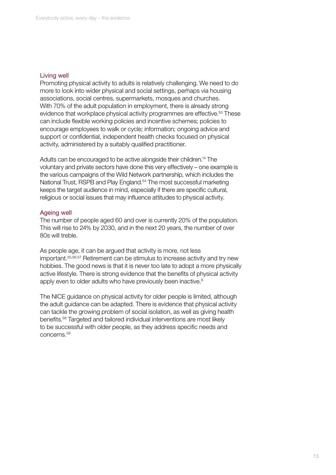#### Living well

Promoting physical activity to adults is relatively challenging. We need to do more to look into wider physical and social settings, perhaps via housing associations, social centres, supermarkets, mosques and churches. With 70% of the adult population in employment, there is already strong evidence that workplace physical activity programmes are effective.<sup>53</sup> These can include flexible working policies and incentive schemes; policies to encourage employees to walk or cycle; information; ongoing advice and support or confidential, independent health checks focused on physical activity, administered by a suitably qualified practitioner.

Adults can be encouraged to be active alongside their children.14 The voluntary and private sectors have done this very effectively – one example is the various campaigns of the Wild Network partnership, which includes the National Trust, RSPB and Play England.<sup>54</sup> The most successful marketing keeps the target audience in mind, especially if there are specific cultural, religious or social issues that may influence attitudes to physical activity.

#### Ageing well

The number of people aged 60 and over is currently 20% of the population. This will rise to 24% by 2030, and in the next 20 years, the number of over 80s will treble.

As people age, it can be argued that activity is more, not less important.55,56,57 Retirement can be stimulus to increase activity and try new hobbies. The good news is that it is never too late to adopt a more physically active lifestyle. There is strong evidence that the benefits of physical activity apply even to older adults who have previously been inactive.<sup>8</sup>

The NICE guidance on physical activity for older people is limited, although the adult guidance can be adapted. There is evidence that physical activity can tackle the growing problem of social isolation, as well as giving health benefits.58 Targeted and tailored individual interventions are most likely to be successful with older people, as they address specific needs and concerns.59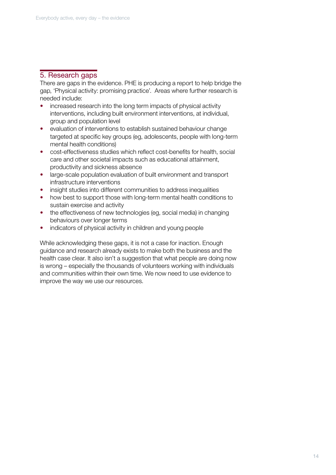## 5. Research gaps

There are gaps in the evidence. PHE is producing a report to help bridge the gap, 'Physical activity: promising practice'. Areas where further research is needed include:

- increased research into the long term impacts of physical activity interventions, including built environment interventions, at individual, group and population level
- evaluation of interventions to establish sustained behaviour change targeted at specific key groups (eg, adolescents, people with long-term mental health conditions)
- cost-effectiveness studies which reflect cost-benefits for health, social care and other societal impacts such as educational attainment, productivity and sickness absence
- large-scale population evaluation of built environment and transport infrastructure interventions
- insight studies into different communities to address inequalities
- how best to support those with long-term mental health conditions to sustain exercise and activity
- the effectiveness of new technologies (eg, social media) in changing behaviours over longer terms
- indicators of physical activity in children and young people

While acknowledging these gaps, it is not a case for inaction. Enough guidance and research already exists to make both the business and the health case clear. It also isn't a suggestion that what people are doing now is wrong – especially the thousands of volunteers working with individuals and communities within their own time. We now need to use evidence to improve the way we use our resources.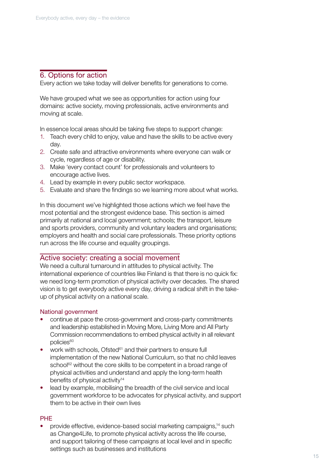## 6. Options for action

Every action we take today will deliver benefits for generations to come.

We have grouped what we see as opportunities for action using four domains: active society, moving professionals, active environments and moving at scale.

In essence local areas should be taking five steps to support change:

- 1. Teach every child to enjoy, value and have the skills to be active every day.
- 2. Create safe and attractive environments where everyone can walk or cycle, regardless of age or disability.
- 3. Make 'every contact count' for professionals and volunteers to encourage active lives.
- 4. Lead by example in every public sector workspace.
- 5. Evaluate and share the findings so we learning more about what works.

In this document we've highlighted those actions which we feel have the most potential and the strongest evidence base. This section is aimed primarily at national and local government; schools; the transport, leisure and sports providers, community and voluntary leaders and organisations; employers and health and social care professionals. These priority options run across the life course and equality groupings.

#### Active society: creating a social movement

We need a cultural turnaround in attitudes to physical activity. The international experience of countries like Finland is that there is no quick fix: we need long-term promotion of physical activity over decades. The shared vision is to get everybody active every day, driving a radical shift in the takeup of physical activity on a national scale.

#### National government

- continue at pace the cross-government and cross-party commitments and leadership established in Moving More, Living More and All Party Commission recommendations to embed physical activity in all relevant policies<sup>60</sup>
- work with schools, Ofsted<sup>61</sup> and their partners to ensure full implementation of the new National Curriculum, so that no child leaves school<sup>62</sup> without the core skills to be competent in a broad range of physical activities and understand and apply the long-term health benefits of physical activity<sup>14</sup>
- lead by example, mobilising the breadth of the civil service and local government workforce to be advocates for physical activity, and support them to be active in their own lives

#### PHE

• provide effective, evidence-based social marketing campaigns,14 such as Change4Life, to promote physical activity across the life course, and support tailoring of these campaigns at local level and in specific settings such as businesses and institutions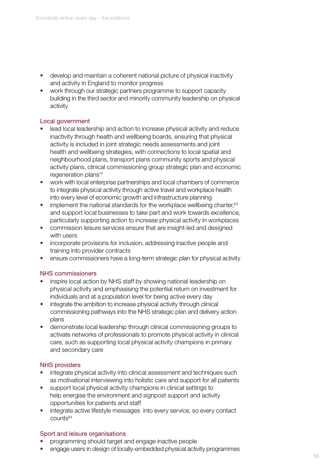- develop and maintain a coherent national picture of physical inactivity and activity in England to monitor progress
- work through our strategic partners programme to support capacity building in the third sector and minority community leadership on physical activity

#### Local government

- lead local leadership and action to increase physical activity and reduce inactivity through health and wellbeing boards, ensuring that physical activity is included in joint strategic needs assessments and joint health and wellbeing strategies, with connections to local spatial and neighbourhood plans, transport plans community sports and physical activity plans, clinical commissioning group strategic plan and economic regeneration plans<sup>14</sup>
- work with local enterprise partnerships and local chambers of commerce to integrate physical activity through active travel and workplace health into every level of economic growth and infrastructure planning
- implement the national standards for the workplace wellbeing charter. $63$ and support local businesses to take part and work towards excellence, particularly supporting action to increase physical activity in workplaces
- commission leisure services ensure that are insight-led and designed with users
- incorporate provisions for inclusion, addressing inactive people and training into provider contracts
- ensure commissioners have a long-term strategic plan for physical activity

#### NHS commissioners

- inspire local action by NHS staff by showing national leadership on physical activity and emphasising the potential return on investment for individuals and at a population level for being active every day
- integrate the ambition to increase physical activity through clinical commissioning pathways into the NHS strategic plan and delivery action plans
- demonstrate local leadership through clinical commissioning groups to activate networks of professionals to promote physical activity in clinical care, such as supporting local physical activity champions in primary and secondary care

#### NHS providers

- integrate physical activity into clinical assessment and techniques such as motivational interviewing into holistic care and support for all patients
- support local physical activity champions in clinical settings to help energise the environment and signpost support and activity opportunities for patients and staff
- integrate active lifestyle messages into every service, so every contact counts64

#### Sport and leisure organisations

- programming should target and engage inactive people
- engage users in design of locally-embedded physical activity programmes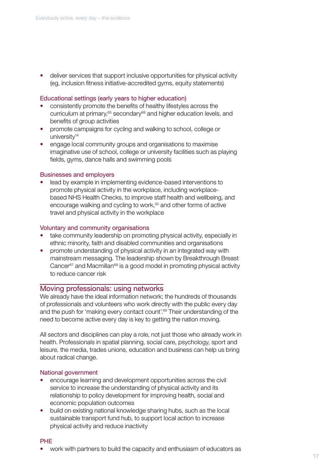• deliver services that support inclusive opportunities for physical activity (eg, inclusion fitness initiative-accredited gyms, equity statements)

#### Educational settings (early years to higher education)

- consistently promote the benefits of healthy lifestyles across the curriculum at primary,<sup>65</sup> secondary<sup>66</sup> and higher education levels, and benefits of group activities
- promote campaigns for cycling and walking to school, college or university<sup>14</sup>
- engage local community groups and organisations to maximise imaginative use of school, college or university facilities such as playing fields, gyms, dance halls and swimming pools

#### Businesses and employers

• lead by example in implementing evidence-based interventions to promote physical activity in the workplace, including workplacebased NHS Health Checks, to improve staff health and wellbeing, and encourage walking and cycling to work,<sup>30</sup> and other forms of active travel and physical activity in the workplace

#### Voluntary and community organisations

- take community leadership on promoting physical activity, especially in ethnic minority, faith and disabled communities and organisations
- promote understanding of physical activity in an integrated way with mainstream messaging. The leadership shown by Breakthrough Breast Cancer $67$  and Macmillan $68$  is a good model in promoting physical activity to reduce cancer risk

#### Moving professionals: using networks

We already have the ideal information network; the hundreds of thousands of professionals and volunteers who work directly with the public every day and the push for 'making every contact count'.<sup>69</sup> Their understanding of the need to become active every day is key to getting the nation moving.

All sectors and disciplines can play a role, not just those who already work in health. Professionals in spatial planning, social care, psychology, sport and leisure, the media, trades unions, education and business can help us bring about radical change.

#### National government

- encourage learning and development opportunities across the civil service to increase the understanding of physical activity and its relationship to policy development for improving health, social and economic population outcomes
- build on existing national knowledge sharing hubs, such as the local sustainable transport fund hub, to support local action to increase physical activity and reduce inactivity

#### PHE

• work with partners to build the capacity and enthusiasm of educators as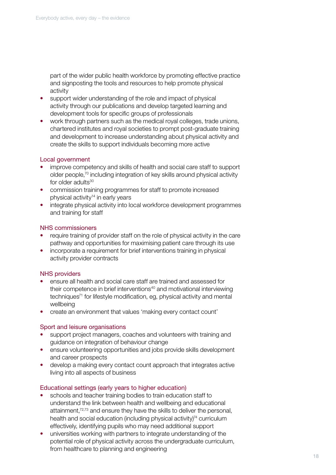part of the wider public health workforce by promoting effective practice and signposting the tools and resources to help promote physical activity

- support wider understanding of the role and impact of physical activity through our publications and develop targeted learning and development tools for specific groups of professionals
- work through partners such as the medical royal colleges, trade unions, chartered institutes and royal societies to prompt post-graduate training and development to increase understanding about physical activity and create the skills to support individuals becoming more active

#### Local government

- improve competency and skills of health and social care staff to support older people,70 including integration of key skills around physical activity for older adults<sup>30</sup>
- commission training programmes for staff to promote increased physical activity<sup>14</sup> in early years
- integrate physical activity into local workforce development programmes and training for staff

#### NHS commissioners

- require training of provider staff on the role of physical activity in the care pathway and opportunities for maximising patient care through its use
- incorporate a requirement for brief interventions training in physical activity provider contracts

#### NHS providers

- ensure all health and social care staff are trained and assessed for their competence in brief interventions<sup>40</sup> and motivational interviewing techniques<sup>71</sup> for lifestyle modification, eg, physical activity and mental wellbeing
- create an environment that values 'making every contact count'

#### Sport and leisure organisations

- support project managers, coaches and volunteers with training and guidance on integration of behaviour change
- ensure volunteering opportunities and jobs provide skills development and career prospects
- develop a making every contact count approach that integrates active living into all aspects of business

#### Educational settings (early years to higher education)

- schools and teacher training bodies to train education staff to understand the link between health and wellbeing and educational attainment,72,73 and ensure they have the skills to deliver the personal, health and social education (including physical activity)<sup>74</sup> curriculum effectively, identifying pupils who may need additional support
- universities working with partners to integrate understanding of the potential role of physical activity across the undergraduate curriculum, from healthcare to planning and engineering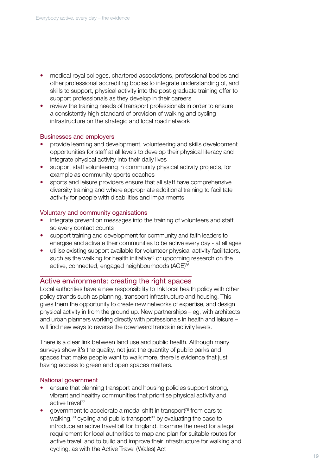- medical royal colleges, chartered associations, professional bodies and other professional accrediting bodies to integrate understanding of, and skills to support, physical activity into the post-graduate training offer to support professionals as they develop in their careers
- review the training needs of transport professionals in order to ensure a consistently high standard of provision of walking and cycling infrastructure on the strategic and local road network

#### Businesses and employers

- provide learning and development, volunteering and skills development opportunities for staff at all levels to develop their physical literacy and integrate physical activity into their daily lives
- support staff volunteering in community physical activity projects, for example as community sports coaches
- sports and leisure providers ensure that all staff have comprehensive diversity training and where appropriate additional training to facilitate activity for people with disabilities and impairments

#### Voluntary and community oganisations

- integrate prevention messages into the training of volunteers and staff, so every contact counts
- support training and development for community and faith leaders to energise and activate their communities to be active every day - at all ages
- utilise existing support available for volunteer physical activity facilitators, such as the walking for health initiative<sup>75</sup> or upcoming research on the active, connected, engaged neighbourhoods (ACE)76

#### Active environments: creating the right spaces

Local authorities have a new responsibility to link local health policy with other policy strands such as planning, transport infrastructure and housing. This gives them the opportunity to create new networks of expertise, and design physical activity in from the ground up. New partnerships – eg, with architects and urban planners working directly with professionals in health and leisure – will find new ways to reverse the downward trends in activity levels.

There is a clear link between land use and public health. Although many surveys show it's the quality, not just the quantity of public parks and spaces that make people want to walk more, there is evidence that just having access to green and open spaces matters.

#### National government

- ensure that planning transport and housing policies support strong, vibrant and healthy communities that prioritise physical activity and active travel<sup>77</sup>
- government to accelerate a modal shift in transport78 from cars to walking, $30$  cycling and public transport $80$  by evaluating the case to introduce an active travel bill for England. Examine the need for a legal requirement for local authorities to map and plan for suitable routes for active travel, and to build and improve their infrastructure for walking and cycling, as with the Active Travel (Wales) Act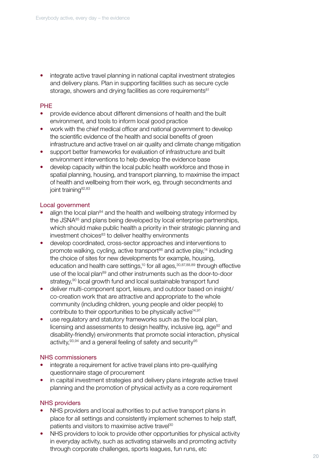• integrate active travel planning in national capital investment strategies and delivery plans. Plan in supporting facilities such as secure cycle storage, showers and drying facilities as core requirements<sup>81</sup>

#### PHE

- provide evidence about different dimensions of health and the built environment, and tools to inform local good practice
- work with the chief medical officer and national government to develop the scientific evidence of the health and social benefits of green infrastructure and active travel on air quality and climate change mitigation
- support better frameworks for evaluation of infrastructure and built environment interventions to help develop the evidence base
- develop capacity within the local public health workforce and those in spatial planning, housing, and transport planning, to maximise the impact of health and wellbeing from their work, eg, through secondments and joint training<sup>82,83</sup>

#### Local government

- align the local plan $84$  and the health and wellbeing strategy informed by the JSNA<sup>85</sup> and plans being developed by local enterprise partnerships, which should make public health a priority in their strategic planning and investment choices<sup>83</sup> to deliver healthy environments
- develop coordinated, cross-sector approaches and interventions to promote walking, cycling, active transport $86$  and active play,<sup>14</sup> including the choice of sites for new developments for example, housing, education and health care settings,<sup>10</sup> for all ages,<sup>30,87,88,89</sup> through effective use of the local plan<sup>89</sup> and other instruments such as the door-to-door strategy,<sup>90</sup> local growth fund and local sustainable transport fund
- deliver multi-component sport, leisure, and outdoor based on insight/ co-creation work that are attractive and appropriate to the whole community (including children, young people and older people) to contribute to their opportunities to be physically active<sup>14,91</sup>
- use regulatory and statutory frameworks such as the local plan, licensing and assessments to design healthy, inclusive (eg. age<sup>92</sup> and disability-friendly) environments that promote social interaction, physical activity, 93,94 and a general feeling of safety and security 95

#### NHS commissioners

- integrate a requirement for active travel plans into pre-qualifying questionnaire stage of procurement
- in capital investment strategies and delivery plans integrate active travel planning and the promotion of physical activity as a core requirement

#### NHS providers

- NHS providers and local authorities to put active transport plans in place for all settings and consistently implement schemes to help staff, patients and visitors to maximise active travel<sup>30</sup>
- NHS providers to look to provide other opportunities for physical activity in everyday activity, such as activating stairwells and promoting activity through corporate challenges, sports leagues, fun runs, etc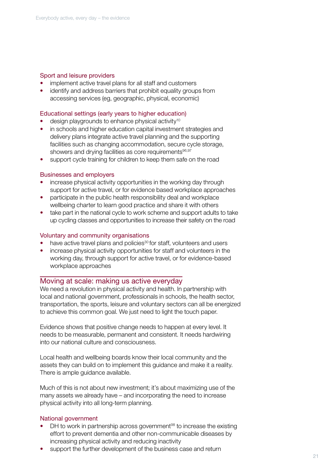#### Sport and leisure providers

- implement active travel plans for all staff and customers
- identify and address barriers that prohibit equality groups from accessing services (eg, geographic, physical, economic)

#### Educational settings (early years to higher education)

- design playgrounds to enhance physical activity<sup>10</sup>
- in schools and higher education capital investment strategies and delivery plans integrate active travel planning and the supporting facilities such as changing accommodation, secure cycle storage, showers and drying facilities as core requirements<sup>96,97</sup>
- support cycle training for children to keep them safe on the road

#### Businesses and employers

- increase physical activity opportunities in the working day through support for active travel, or for evidence based workplace approaches
- participate in the public health responsibility deal and workplace wellbeing charter to learn good practice and share it with others
- take part in the national cycle to work scheme and support adults to take up cycling classes and opportunities to increase their safety on the road

#### Voluntary and community organisations

- have active travel plans and policies<sup>30</sup> for staff, volunteers and users
- increase physical activity opportunities for staff and volunteers in the working day, through support for active travel, or for evidence-based workplace approaches

#### Moving at scale: making us active everyday

We need a revolution in physical activity and health. In partnership with local and national government, professionals in schools, the health sector, transportation, the sports, leisure and voluntary sectors can all be energized to achieve this common goal. We just need to light the touch paper.

Evidence shows that positive change needs to happen at every level. It needs to be measurable, permanent and consistent. It needs hardwiring into our national culture and consciousness.

Local health and wellbeing boards know their local community and the assets they can build on to implement this guidance and make it a reality. There is ample guidance available.

Much of this is not about new investment; it's about maximizing use of the many assets we already have – and incorporating the need to increase physical activity into all long-term planning.

#### National government

- DH to work in partnership across government<sup>98</sup> to increase the existing effort to prevent dementia and other non-communicable diseases by increasing physical activity and reducing inactivity
- support the further development of the business case and return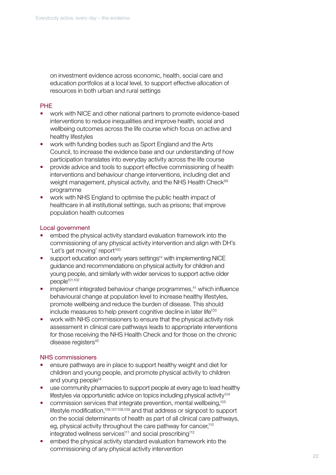on investment evidence across economic, health, social care and education portfolios at a local level, to support effective allocation of resources in both urban and rural settings

## PHE

- work with NICE and other national partners to promote evidence-based interventions to reduce inequalities and improve health, social and wellbeing outcomes across the life course which focus on active and healthy lifestyles
- work with funding bodies such as Sport England and the Arts Council, to increase the evidence base and our understanding of how participation translates into everyday activity across the life course
- provide advice and tools to support effective commissioning of health interventions and behaviour change interventions, including diet and weight management, physical activity, and the NHS Health Check<sup>99</sup> programme
- work with NHS England to optimise the public health impact of healthcare in all institutional settings, such as prisons; that improve population health outcomes

#### Local government

- embed the physical activity standard evaluation framework into the commissioning of any physical activity intervention and align with DH's 'Let's get moving' report<sup>100</sup>
- support education and early years settings<sup>14</sup> with implementing NICE guidance and recommendations on physical activity for children and young people, and similarly with wider services to support active older people<sup>101,102</sup>
- implement integrated behaviour change programmes,<sup>41</sup> which influence behavioural change at population level to increase healthy lifestyles, promote wellbeing and reduce the burden of disease. This should include measures to help prevent cognitive decline in later life<sup>103</sup>
- work with NHS commissioners to ensure that the physical activity risk assessment in clinical care pathways leads to appropriate interventions for those receiving the NHS Health Check and for those on the chronic disease registers<sup>40</sup>

#### NHS commissioners

- ensure pathways are in place to support healthy weight and diet for children and young people, and promote physical activity to children and young people<sup>14</sup>
- use community pharmacies to support people at every age to lead healthy lifestyles via opportunistic advice on topics including physical activity<sup>104</sup>
- commission services that integrate prevention, mental wellbeing,105 lifestyle modification,106,107.108,109 and that address or signpost to support on the social determinants of health as part of all clinical care pathways, eg, physical activity throughout the care pathway for cancer,<sup>110</sup> integrated wellness services<sup>111</sup> and social prescribing<sup>112</sup>
- embed the physical activity standard evaluation framework into the commissioning of any physical activity intervention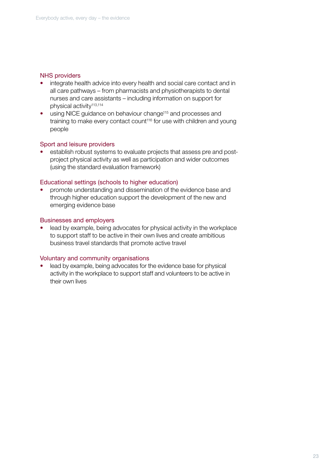#### NHS providers

- integrate health advice into every health and social care contact and in all care pathways – from pharmacists and physiotherapists to dental nurses and care assistants – including information on support for physical activity<sup>113,114</sup>
- using NICE guidance on behaviour change<sup>115</sup> and processes and training to make every contact count<sup>116</sup> for use with children and young people

#### Sport and leisure providers

• establish robust systems to evaluate projects that assess pre and postproject physical activity as well as participation and wider outcomes (using the standard evaluation framework)

#### Educational settings (schools to higher education)

• promote understanding and dissemination of the evidence base and through higher education support the development of the new and emerging evidence base

#### Businesses and employers

lead by example, being advocates for physical activity in the workplace to support staff to be active in their own lives and create ambitious business travel standards that promote active travel

#### Voluntary and community organisations

lead by example, being advocates for the evidence base for physical activity in the workplace to support staff and volunteers to be active in their own lives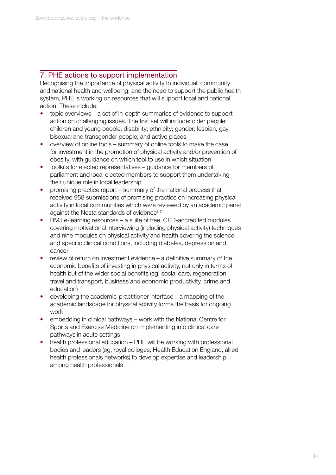## 7. PHE actions to support implementation

Recognising the importance of physical activity to individual, community and national health and wellbeing, and the need to support the public health system, PHE is working on resources that will support local and national action. These include:

- topic overviews a set of in-depth summaries of evidence to support action on challenging issues. The first set will include: older people; children and young people; disability; ethnicity; gender; lesbian, gay, bisexual and transgender people; and active places
- overview of online tools summary of online tools to make the case for investment in the promotion of physical activity and/or prevention of obesity, with guidance on which tool to use in which situation
- toolkits for elected representatives guidance for members of parliament and local elected members to support them undertaking their unique role in local leadership
- promising practice report summary of the national process that received 958 submissions of promising practice on increasing physical activity in local communities which were reviewed by an academic panel against the Nesta standards of evidence<sup>117</sup>
- BMJ e-learning resources a suite of free, CPD-accredited modules covering motivational interviewing (including physical activity) techniques and nine modules on physical activity and health covering the science and specific clinical conditions, including diabetes, depression and cancer
- review of return on investment evidence a definitive summary of the economic benefits of investing in physical activity, not only in terms of health but of the wider social benefits (eg, social care, regeneration, travel and transport, business and economic productivity, crime and education)
- developing the academic-practitioner interface a mapping of the academic landscape for physical activity forms the basis for ongoing work
- embedding in clinical pathways work with the National Centre for Sports and Exercise Medicine on implementing into clinical care pathways in acute settings
- health professional education PHE will be working with professional bodies and leaders (eg, royal colleges, Health Education England, allied health professionals networks) to develop expertise and leadership among health professionals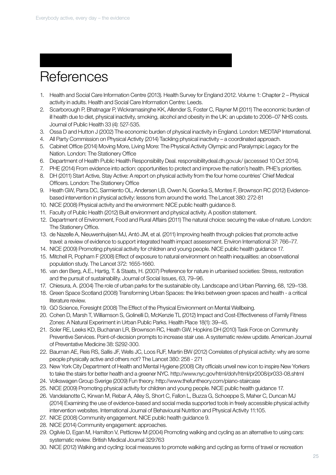# **References**

- 1. Health and Social Care Information Centre (2013). Health Survey for England 2012. Volume 1: Chapter 2 Physical activity in adults. Health and Social Care Information Centre: Leeds.
- 2. Scarborough P, Bhatnagar P, Wickramasinghe KK, Allender S, Foster C, Rayner M (2011) The economic burden of ill health due to diet, physical inactivity, smoking, alcohol and obesity in the UK: an update to 2006–07 NHS costs. Journal of Public Health 33 (4): 527-535.
- 3. Ossa D and Hutton J (2002) The economic burden of physical inactivity in England. London: MEDTAP International.
- 4. All Party Commission on Physical Activity (2014) Tackling physical inactivity a coordinated approach.
- 5. Cabinet Office (2014) Moving More, Living More: The Physical Activity Olympic and Paralympic Legacy for the Nation. London: The Stationery Office
- 6. Department of Health Public Health Responsibility Deal. responsibilitydeal.dh.gov.uk/ (accessed 10 Oct 2014).
- 7. PHE (2014) From evidence into action: opportunities to protect and improve the nation's health. PHE's priorities.
- 8. DH (2011) Start Active, Stay Active: A report on physical activity from the four home countries' Chief Medical Officers. London: The Stationery Office
- 9. Heath GW, Parra DC, Sarmiento OL, Andersen LB, Owen N, Goenka S, Montes F, Brownson RC (2012) Evidencebased intervention in physical activity: lessons from around the world. The Lancet 380: 272-81
- 10. NICE (2008) Physical activity and the environment: NICE public health guidance 8.
- 11. Faculty of Public Health (2012) Built environment and physical activity. A position statement.
- 12. Department of Environment, Food and Rural Affairs (2011) The natural choice: securing the value of nature. London: The Stationery Office.
- 13. de Nazelle A, Nieuwenhuijsen MJ, Antó JM, et al. (2011) Improving health through policies that promote active travel: a review of evidence to support integrated health impact assessment. Environ International 37: 766–77.
- 14. NICE (2009) Promoting physical activity for children and young people. NICE public health guidance 17.
- 15. Mitchell R, Popham F (2008) Effect of exposure to natural environment on health inequalities: an observational population study. The Lancet 372: 1655-1660.
- 16. van den Berg, A.E., Hartig, T. & Staats, H. (2007) Preference for nature in urbanised societies: Stress, restoration and the pursuit of sustainability. Journal of Social Issues, 63, 79–96.
- 17. Chiesura, A. (2004) The role of urban parks for the sustainable city. Landscape and Urban Planning, 68, 129–138.
- 18. Green Space Scotland (2008) Transforming Urban Spaces: the links between green spaces and health a critical literature review.
- 19. GO Science, Foresight (2008) The Effect of the Physical Environment on Mental Wellbeing.
- 20. Cohen D, Marsh T, Williamson S, Golinelli D, McKenzie TL (2012) Impact and Cost-Effectiveness of Family Fitness Zones: A Natural Experiment in Urban Public Parks. Health Place 18(1): 39–45.
- 21. Soler RE, Leeks KD, Buchanan LR, Brownson RC, Heath GW, Hopkins DH (2010) Task Force on Community Preventive Services. Point-of-decision prompts to increase stair use. A systematic review update. American Journal of Preventative Medicine 38: S292-300.
- 22. Bauman AE, Reis RS, Sallis JF, Wells JC, Loos RJF, Martin BW (2012) Correlates of physical activity: why are some people physically active and others not? The Lancet 380: 258 - 271
- 23. New York City Department of Health and Mental Hygiene (2008) City officials unveil new icon to inspire New Yorkers to take the stairs for better health and a greener NYC. http://www.nyc.gov/html/doh/html/pr2008/pr033-08.shtml
- 24. Volkswagen Group Sverige (2009) Fun theory. http://www.thefuntheory.com/piano-staircase
- 25. NICE (2009) Promoting physical activity for children and young people. NICE public health guidance 17.
- 26. Vandelanotte C, Kirwan M, Rebar A, Alley S, Short C, Fallon L, Buzza G, Schoeppe S, Maher C, Duncan MJ (2014) Examining the use of evidence-based and social media supported tools in freely accessible physical activity intervention websites. International Journal of Behavioural Nutrition and Physical Activity 11:105.
- 27. NICE (2008) Community engagement. NICE public health guidance 9.
- 28. NICE (2014) Community engagement: approaches.
- 29. Ogilvie D, Egan M, Hamilton V, Petticrew M (2004) Promoting walking and cycling as an alternative to using cars: systematic review. British Medical Journal 329:763
- 30. NICE (2012) Walking and cycling: local measures to promote walking and cycling as forms of travel or recreation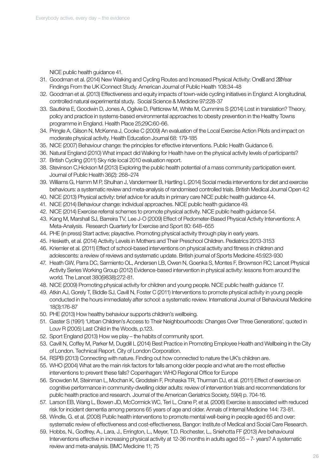NICE public health guidance 41.

- 31. Goodman et al. (2014) New Walking and Cycling Routes and Increased Physical Activity: One and 2 Year Findings From the UK iConnect Study. American Journal of Public Health 108:34-48
- 32. Goodman et al. (2013) Effectiveness and equity impacts of town-wide cycling initiatives in England: A longitudinal, controlled natural experimental study. Social Science & Medicine 97:228-37
- 33. Sautkina E, Goodwin D, Jones A, Ogilvie D, Petticrew M, White M, Cummins S (2014) Lost in translation? Theory, policy and practice in systems-based environmental approaches to obesity prevention in the Healthy Towns programme in England. Health Place 25;29C:60-66.
- 34. Pringle A, Gilson N, McKenna J, Cooke C (2009) An evaluation of the Local Exercise Action Pilots and impact on moderate physical activity. Health Education Journal 68: 179-185
- 35. NICE (2007) Behaviour change: the principles for effective interventions. Public Health Guidance 6.
- 36. Natural England (2010) What impact did Walking for Health have on the physical activity levels of participants?
- 37. British Cycling (2011) Sky ride local 2010 evaluation report.
- 38. Stevinson C,Hickson M (2013) Exploring the public health potential of a mass community participation event. Journal of Public Health 36(2): 268–274
- 39. Williams G, Hamm M P, Shulhan J, Vandermeer B, Hartling L (2014) Social media interventions for diet and exercise behaviours: a systematic review and meta-analysis of randomised controlled trials. British Medical Journal Open 4:2
- 40. NICE (2013) Physical activity: brief advice for adults in primary care NICE public health guidance 44.
- 41. NICE (2014) Behaviour change: individual approaches. NICE public health guidance 49.
- 42. NICE (2014) Exercise referral schemes to promote physical activity. NICE public health guidance 54.
- 43. Kang M, Marshall SJ, Barreira TV, Lee J-O (2009) Effect of Pedometer-Based Physical Activity Interventions: A Meta-Analysis. Research Quarterly for Exercise and Sport 80: 648–655
- 44. PHE (in press) Start active; playactive. Promoting physical activity through play in early years.
- 45. Hesketh, et al. (2014) Activity Levels in Mothers and Their Preschool Children. Pediatrics 2013-3153
- 46. Kriemler et al. (2011) Effect of school-based interventions on physical activity and fitness in children and adolescents: a review of reviews and systematic update. British journal of Sports Medicine 45:923-930
- 47. Heath GW, Parra DC, Sarmiento OL, Andersen LB, Owen N, Goenka S, Montes F, Brownson RC; Lancet Physical Activity Series Working Group (2012) Evidence-based intervention in physical activity: lessons from around the world. The Lancet 380(9838):272-81.
- 48. NICE (2009) Promoting physical activity for children and young people. NICE public health guidance 17.
- 49. Atkin AJ, Gorely T, Biddle SJ, Cavill N, Foster C (2011) Interventions to promote physical activity in young people conducted in the hours immediately after school: a systematic review. International Journal of Behavioural Medicine 18(3):176-87
- 50. PHE (2013) How healthy behaviour supports children's wellbeing.
- 51. Gaster S (1991) 'Urban Children's Access to Their Neighbourhoods: Changes Over Three Generations', quoted in Louv R (2005) Last Child in the Woods, p.123.
- 52. Sport England (2013) How we play the habits of community sport.
- 53. Cavill N, Coffey M, Parker M, Dugdill L (2014) Best Practice in Promoting Employee Health and Wellbeing in the City of London. Technical Report. City of London Corporation.
- 54. RSPB (2013) Connecting with nature. Finding out how connected to nature the UK's children are.
- 55. WHO (2004) What are the main risk factors for falls among older people and what are the most effective interventions to prevent these falls? Copenhagen: WHO Regional Office for Europe
- 56. Snowden M, Steinman L, Mochan K, Grodstein F, Prohaska TR, Thurman DJ, et al. (2011) Effect of exercise on cognitive performance in community-dwelling older adults: review of intervention trials and recommendations for public health practice and research. Journal of the American Geriatrics Society, 59(4) p. 704-16.
- 57. Larson EB, Wang L, Bowen JD, McCormick WC, Teri L, Crane P, et al. (2006) Exercise is associated with reduced risk for incident dementia among persons 65 years of age and older. Annals of Internal Medicine 144: 73-81.
- 58. Windle, G. et al. (2008) Public health interventions to promote mental well-being in people aged 65 and over: systematic review of effectiveness and cost-effectiveness, Bangor: Institute of Medical and Social Care Research.
- 59. Hobbs, N., Godfrey, A., Lara, J., Errington, L., Meyer, T.D. Rochester, L., Sniehotta FF (2013) Are behavioural Interventions effective in increasing physical activity at 12-36 months in adults aged 55 – 7- years? A systematic review and meta-analysis. BMC Medicine 11; 75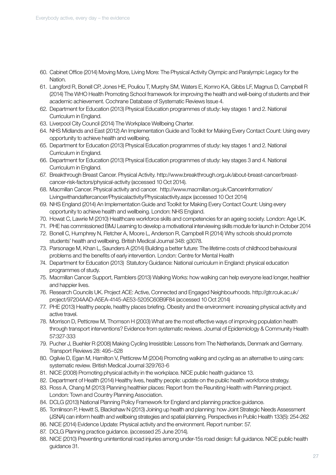- 60. Cabinet Office (2014) Moving More, Living More: The Physical Activity Olympic and Paralympic Legacy for the Nation.
- 61. Langford R, Bonell CP, Jones HE, Pouliou T, Murphy SM, Waters E, Komro KA, Gibbs LF, Magnus D, Campbell R (2014) The WHO Health Promoting School framework for improving the health and well-being of students and their academic achievement. Cochrane Database of Systematic Reviews Issue 4.
- 62. Department for Education (2013) Physical Education programmes of study: key stages 1 and 2. National Curriculum in England.
- 63. Liverpool City Council (2014) The Workplace Wellbeing Charter.
- 64. NHS Midlands and East (2012) An Implementation Guide and Toolkit for Making Every Contact Count: Using every opportunity to achieve health and wellbeing.
- 65. Department for Education (2013) Physical Education programmes of study: key stages 1 and 2. National Curriculum in England.
- 66. Department for Education (2013) Physical Education programmes of study: key stages 3 and 4. National Curriculum in England.
- 67. Breakthrough Breast Cancer. Physical Activity. http://www.breakthrough.org.uk/about-breast-cancer/breastcancer-risk-factors/physical-activity (accessed 10 Oct 2014).
- 68. Macmillan Cancer. Physical activity and cancer. http://www.macmillan.org.uk/Cancerinformation/ Livingwithandaftercancer/Physicalactivity/Physicalactivity.aspx (accessed 10 Oct 2014)
- 69. NHS England (2014) An Implementation Guide and Toolkit for Making Every Contact Count: Using every opportunity to achieve health and wellbeing. London: NHS England.
- 70. Howat C, Lawrie M (2010) Healthcare workforce skills and competencies for an ageing society. London: Age UK.
- 71. PHE has commissioned BMJ Learning to develop a motivational interviewing skills module for launch in October 2014
- 72. Bonell C, Humphrey N, Fletcher A, Moore L, Anderson R, Campbell R (2014) Why schools should promote students' health and wellbeing. British Medical Journal 348: g3078.
- 73. Parsonage M, Khan L, Saunders A (2014) Building a better future: The lifetime costs of childhood behavioural problems and the benefits of early intervention. London: Centre for Mental Health
- 74. Department for Education (2013) Statutory Guidance: National curriculum in England: physical education programmes of study.
- 75. Macmillan Cancer Support, Ramblers (2013) Walking Works: how walking can help everyone lead longer, healthier and happier lives.
- 76. Research Councils UK. Project ACE: Active, Connected and Engaged Neighbourhoods. http://gtr.rcuk.ac.uk/ project/97204AAD-A5EA-4145-AE53-5205C60B9F84 (accessed 10 Oct 2014)
- 77. PHE (2013) Healthy people, healthy places briefing. Obesity and the environment: increasing physical activity and active travel.
- 78. Morrison D, Petticrew M, Thomson H (2003) What are the most effective ways of improving population health through transport interventions? Evidence from systematic reviews. Journal of Epidemiology & Community Health 57:327-333
- 79. Pucher J, Buehler R (2008) Making Cycling Irresistible: Lessons from The Netherlands, Denmark and Germany. Transport Reviews 28: 495–528
- 80. Ogilvie D, Egan M, Hamilton V, Petticrew M (2004) Promoting walking and cycling as an alternative to using cars: systematic review. British Medical Journal 329:763-6
- 81. NICE (2008) Promoting physical activity in the workplace. NICE public health guidance 13.
- 82. Department of Health (2014) Healthy lives, healthy people: update on the public health workforce strategy.
- 83. Ross A, Chang M (2013) Planning healthier places: Report from the Reuniting Health with Planning project. London: Town and Country Planning Association.
- 84. DCLG (2013) National Planning Policy Framework for England and planning practice guidance.
- 85. Tomlinson P, Hewitt S, Blackshaw N (2013) Joining up health and planning: how Joint Strategic Needs Assessment (JSNA) can inform health and wellbeing strategies and spatial planning. Perspectives in Public Health 133(5): 254-262
- 86. NICE (2014) Evidence Update: Physical activity and the environment. Report number: 57.
- 87. DCLG Planning practice guidance. (accessed 25 June 2014).
- 88. NICE (2010) Preventing unintentional road injuries among under-15s road design: full guidance. NICE public health guidance 31.